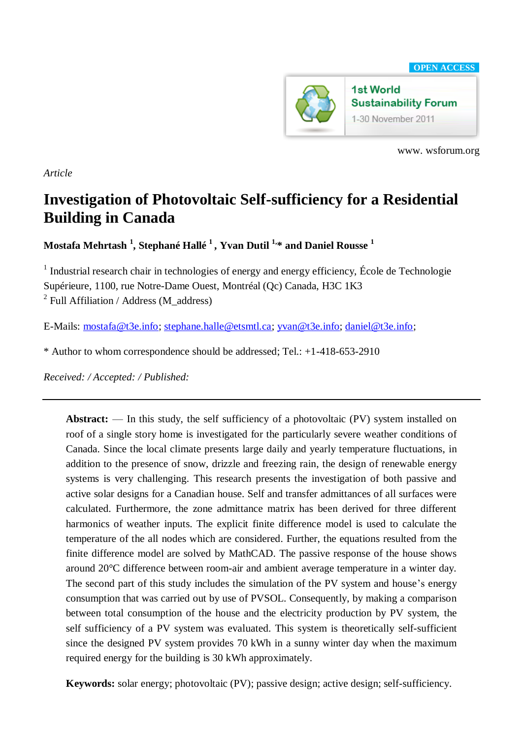

www. wsforum.org

*Article*

# **Investigation of Photovoltaic Self-sufficiency for a Residential Building in Canada**

**Mostafa Mehrtash <sup>1</sup> , Stephané Hallé 1 , Yvan Dutil 1, \* and Daniel Rousse <sup>1</sup>**

<sup>1</sup> Industrial research chair in technologies of energy and energy efficiency, École de Technologie Supérieure, 1100, rue Notre-Dame Ouest, Montréal (Qc) Canada, H3C 1K3 <sup>2</sup> Full Affiliation / Address (M\_address)

E-Mails: [mostafa@t3e.info;](mailto:mostafa@t3e.info) [stephane.halle@etsmtl.ca;](mailto:stephane.halle@etsmtl.ca) [yvan@t3e.info;](mailto:yvan@t3e.info) [daniel@t3e.info;](mailto:daniel@t3e.info)

\* Author to whom correspondence should be addressed; Tel.: +1-418-653-2910

*Received: / Accepted: / Published:* 

Abstract: — In this study, the self sufficiency of a photovoltaic (PV) system installed on roof of a single story home is investigated for the particularly severe weather conditions of Canada. Since the local climate presents large daily and yearly temperature fluctuations, in addition to the presence of snow, drizzle and freezing rain, the design of renewable energy systems is very challenging. This research presents the investigation of both passive and active solar designs for a Canadian house. Self and transfer admittances of all surfaces were calculated. Furthermore, the zone admittance matrix has been derived for three different harmonics of weather inputs. The explicit finite difference model is used to calculate the temperature of the all nodes which are considered. Further, the equations resulted from the finite difference model are solved by MathCAD. The passive response of the house shows around 20°C difference between room-air and ambient average temperature in a winter day. The second part of this study includes the simulation of the PV system and house's energy consumption that was carried out by use of PVSOL. Consequently, by making a comparison between total consumption of the house and the electricity production by PV system, the self sufficiency of a PV system was evaluated. This system is theoretically self-sufficient since the designed PV system provides 70 kWh in a sunny winter day when the maximum required energy for the building is 30 kWh approximately.

**Keywords:** solar energy; photovoltaic (PV); passive design; active design; self-sufficiency.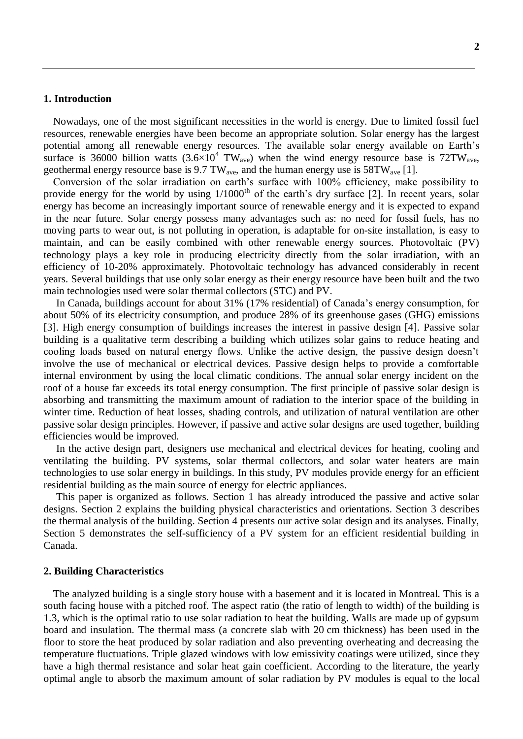#### **1. Introduction**

Nowadays, one of the most significant necessities in the world is energy. Due to limited fossil fuel resources, renewable energies have been become an appropriate solution. Solar energy has the largest potential among all renewable energy resources. The available solar energy available on Earth's surface is 36000 billion watts  $(3.6\times10^4 \text{ TW}_{\text{ave}})$  when the wind energy resource base is 72TW<sub>ave</sub>, geothermal energy resource base is 9.7 TW<sub>ave</sub>, and the human energy use is  $58TW<sub>ave</sub>$  [1].

Conversion of the solar irradiation on earth's surface with 100% efficiency, make possibility to provide energy for the world by using  $1/1000<sup>th</sup>$  of the earth's dry surface [2]. In recent years, solar energy has become an increasingly important source of renewable energy and it is expected to expand in the near future. Solar energy possess many advantages such as: no need for fossil fuels, has no moving parts to wear out, is not polluting in operation, is adaptable for on-site installation, is easy to maintain, and can be easily combined with other renewable energy sources. Photovoltaic (PV) technology plays a key role in producing electricity directly from the solar irradiation, with an efficiency of 10-20% approximately. Photovoltaic technology has advanced considerably in recent years. Several buildings that use only solar energy as their energy resource have been built and the two main technologies used were solar thermal collectors (STC) and PV.

In Canada, buildings account for about 31% (17% residential) of Canada's energy consumption, for about 50% of its electricity consumption, and produce 28% of its greenhouse gases (GHG) emissions [3]. High energy consumption of buildings increases the interest in passive design [4]. Passive solar building is a qualitative term describing a building which utilizes solar gains to reduce heating and cooling loads based on natural energy flows. Unlike the active design, the passive design doesn't involve the use of mechanical or electrical devices. Passive design helps to provide a comfortable internal environment by using the local climatic conditions. The annual solar energy incident on the roof of a house far exceeds its total energy consumption. The first principle of passive solar design is absorbing and transmitting the maximum amount of radiation to the interior space of the building in winter time. Reduction of heat losses, shading controls, and utilization of natural ventilation are other passive solar design principles. However, if passive and active solar designs are used together, building efficiencies would be improved.

In the active design part, designers use mechanical and electrical devices for heating, cooling and ventilating the building. PV systems, solar thermal collectors, and solar water heaters are main technologies to use solar energy in buildings. In this study, PV modules provide energy for an efficient residential building as the main source of energy for electric appliances.

This paper is organized as follows. Section 1 has already introduced the passive and active solar designs. Section 2 explains the building physical characteristics and orientations. Section 3 describes the thermal analysis of the building. Section 4 presents our active solar design and its analyses. Finally, Section 5 demonstrates the self-sufficiency of a PV system for an efficient residential building in Canada.

## **2. Building Characteristics**

The analyzed building is a single story house with a basement and it is located in Montreal. This is a south facing house with a pitched roof. The aspect ratio (the ratio of length to width) of the building is 1.3, which is the optimal ratio to use solar radiation to heat the building. Walls are made up of gypsum board and insulation. The thermal mass (a concrete slab with 20 cm thickness) has been used in the floor to store the heat produced by solar radiation and also preventing overheating and decreasing the temperature fluctuations. Triple glazed windows with low emissivity coatings were utilized, since they have a high thermal resistance and solar heat gain coefficient. According to the literature, the yearly optimal angle to absorb the maximum amount of solar radiation by PV modules is equal to the local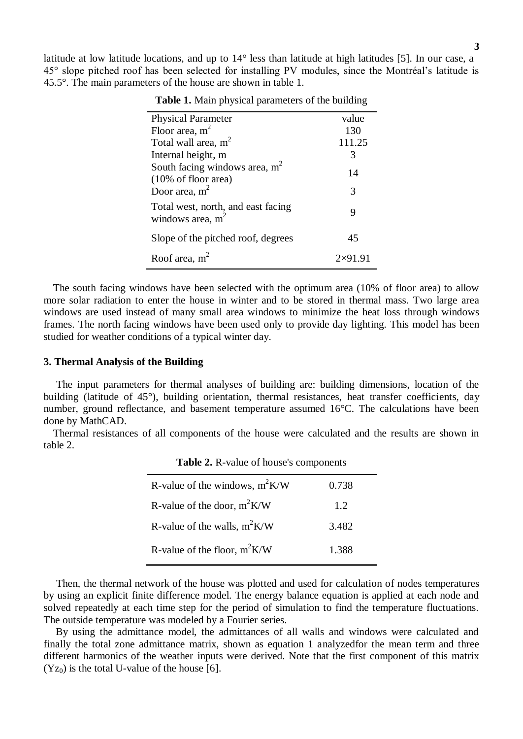latitude at low latitude locations, and up to 14° less than latitude at high latitudes [5]. In our case, a 45° slope pitched roof has been selected for installing PV modules, since the Montréal's latitude is 45.5°. The main parameters of the house are shown in table 1.

| <b>Physical Parameter</b>                                         | value          |
|-------------------------------------------------------------------|----------------|
| Floor area, $m2$                                                  | 130            |
| Total wall area, $m^2$                                            | 111.25         |
| Internal height, m                                                | 3              |
| South facing windows area, $m2$<br>$(10\% \text{ of floor area})$ | 14             |
| Door area, $m2$                                                   | 3              |
| Total west, north, and east facing<br>windows area, $m2$          | 9              |
| Slope of the pitched roof, degrees                                | 45             |
| Roof area, $m2$                                                   | $2\times91.91$ |

**Table 1.** Main physical parameters of the building

The south facing windows have been selected with the optimum area (10% of floor area) to allow more solar radiation to enter the house in winter and to be stored in thermal mass. Two large area windows are used instead of many small area windows to minimize the heat loss through windows frames. The north facing windows have been used only to provide day lighting. This model has been studied for weather conditions of a typical winter day.

## **3. Thermal Analysis of the Building**

The input parameters for thermal analyses of building are: building dimensions, location of the building (latitude of 45°), building orientation, thermal resistances, heat transfer coefficients, day number, ground reflectance, and basement temperature assumed 16°C. The calculations have been done by MathCAD.

Thermal resistances of all components of the house were calculated and the results are shown in table 2.

| R-value of the windows, $m^2K/W$ | 0.738 |
|----------------------------------|-------|
| R-value of the door, $m^2K/W$    | 1.2.  |
| R-value of the walls, $m^2K/W$   | 3.482 |
| R-value of the floor, $m^2K/W$   | 1.388 |

**Table 2.** R-value of house's components

Then, the thermal network of the house was plotted and used for calculation of nodes temperatures by using an explicit finite difference model. The energy balance equation is applied at each node and solved repeatedly at each time step for the period of simulation to find the temperature fluctuations. The outside temperature was modeled by a Fourier series.

By using the admittance model, the admittances of all walls and windows were calculated and finally the total zone admittance matrix, shown as equation 1 analyzedfor the mean term and three different harmonics of the weather inputs were derived. Note that the first component of this matrix  $(Y_{Z_0})$  is the total U-value of the house [6].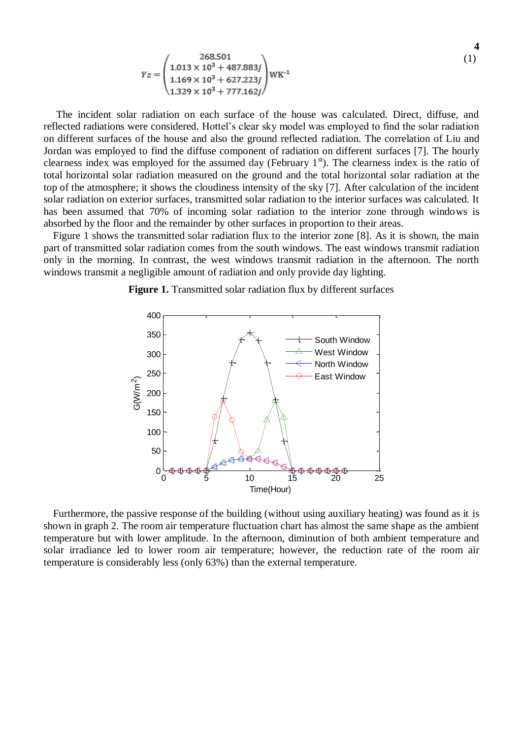$$
Yz = \begin{pmatrix} 268.501 \\ 1.013 \times 10^3 + 487.883j \\ 1.169 \times 10^3 + 627.223j \\ 1.329 \times 10^3 + 777.162j \end{pmatrix} \text{WK}^{-1}
$$
 (1)

The incident solar radiation on each surface of the house was calculated. Direct, diffuse, and reflected radiations were considered. Hottel's clear sky model was employed to find the solar radiation on different surfaces of the house and also the ground reflected radiation. The correlation of Liu and Jordan was employed to find the diffuse component of radiation on different surfaces [7]. The hourly clearness index was employed for the assumed day (February  $1<sup>st</sup>$ ). The clearness index is the ratio of total horizontal solar radiation measured on the ground and the total horizontal solar radiation at the top of the atmosphere; it shows the cloudiness intensity of the sky [7]. After calculation of the incident solar radiation on exterior surfaces, transmitted solar radiation to the interior surfaces was calculated. It has been assumed that 70% of incoming solar radiation to the interior zone through windows is absorbed by the floor and the remainder by other surfaces in proportion to their areas.

Figure 1 shows the transmitted solar radiation flux to the interior zone [8]. As it is shown, the main part of transmitted solar radiation comes from the south windows. The east windows transmit radiation only in the morning. In contrast, the west windows transmit radiation in the afternoon. The north windows transmit a negligible amount of radiation and only provide day lighting.

**Figure 1.** Transmitted solar radiation flux by different surfaces



Furthermore, the passive response of the building (without using auxiliary heating) was found as it is shown in graph 2. The room air temperature fluctuation chart has almost the same shape as the ambient temperature but with lower amplitude. In the afternoon, diminution of both ambient temperature and solar irradiance led to lower room air temperature; however, the reduction rate of the room air temperature is considerably less (only 63%) than the external temperature.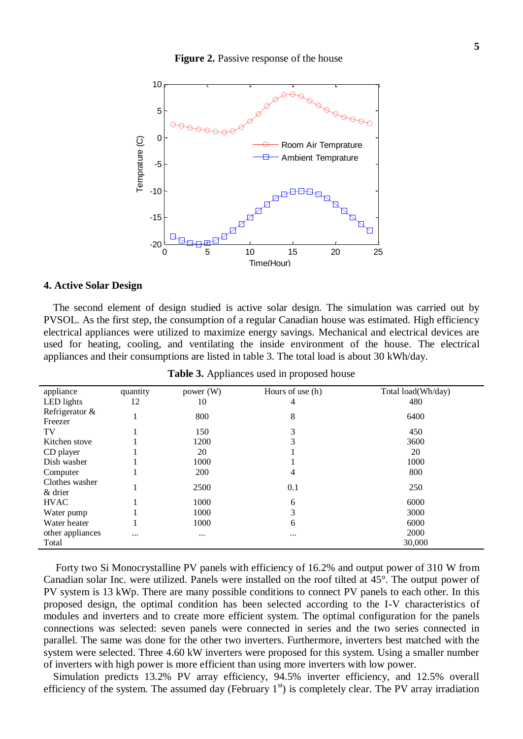

### **4. Active Solar Design**

The second element of design studied is active solar design. The simulation was carried out by PVSOL. As the first step, the consumption of a regular Canadian house was estimated. High efficiency electrical appliances were utilized to maximize energy savings. Mechanical and electrical devices are used for heating, cooling, and ventilating the inside environment of the house. The electrical appliances and their consumptions are listed in table 3. The total load is about 30 kWh/day.

| appliance        | quantity | power $(W)$ | Hours of use (h) | Total load(Wh/day) |
|------------------|----------|-------------|------------------|--------------------|
| LED lights       | 12       | 10          | 4                | 480                |
| Refrigerator &   |          | 800         | 8                | 6400               |
| Freezer          |          |             |                  |                    |
| TV               |          | 150         | 3                | 450                |
| Kitchen stove    |          | 1200        | 3                | 3600               |
| CD player        |          | 20          |                  | 20                 |
| Dish washer      |          | 1000        |                  | 1000               |
| Computer         |          | 200         | 4                | 800                |
| Clothes washer   |          | 2500        | 0.1              | 250                |
| $&$ drier        |          |             |                  |                    |
| <b>HVAC</b>      |          | 1000        | 6                | 6000               |
| Water pump       |          | 1000        | 3                | 3000               |
| Water heater     |          | 1000        | 6                | 6000               |
| other appliances | $\cdots$ | $\cdots$    | $\cdots$         | 2000               |
| Total            |          |             |                  | 30,000             |

**Table 3.** Appliances used in proposed house

Forty two Si Monocrystalline PV panels with efficiency of 16.2% and output power of 310 W from Canadian solar Inc. were utilized. Panels were installed on the roof tilted at 45°. The output power of PV system is 13 kWp. There are many possible conditions to connect PV panels to each other. In this proposed design, the optimal condition has been selected according to the I-V characteristics of modules and inverters and to create more efficient system. The optimal configuration for the panels connections was selected: seven panels were connected in series and the two series connected in parallel. The same was done for the other two inverters. Furthermore, inverters best matched with the system were selected. Three 4.60 kW inverters were proposed for this system. Using a smaller number of inverters with high power is more efficient than using more inverters with low power.

Simulation predicts 13.2% PV array efficiency, 94.5% inverter efficiency, and 12.5% overall efficiency of the system. The assumed day (February  $1<sup>st</sup>$ ) is completely clear. The PV array irradiation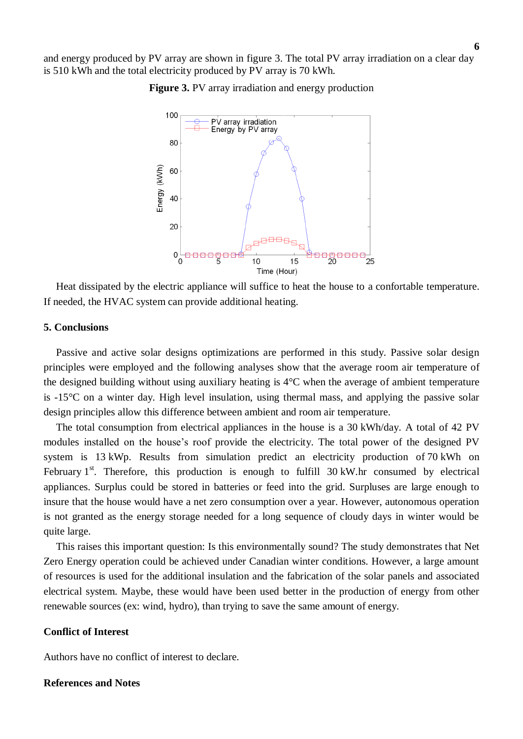and energy produced by PV array are shown in figure 3. The total PV array irradiation on a clear day is 510 kWh and the total electricity produced by PV array is 70 kWh.





Heat dissipated by the electric appliance will suffice to heat the house to a confortable temperature. If needed, the HVAC system can provide additional heating.

## **5. Conclusions**

Passive and active solar designs optimizations are performed in this study. Passive solar design principles were employed and the following analyses show that the average room air temperature of the designed building without using auxiliary heating is 4°C when the average of ambient temperature is -15°C on a winter day. High level insulation, using thermal mass, and applying the passive solar design principles allow this difference between ambient and room air temperature.

The total consumption from electrical appliances in the house is a 30 kWh/day. A total of 42 PV modules installed on the house's roof provide the electricity. The total power of the designed PV system is 13 kWp. Results from simulation predict an electricity production of 70 kWh on February  $1<sup>st</sup>$ . Therefore, this production is enough to fulfill 30 kW.hr consumed by electrical appliances. Surplus could be stored in batteries or feed into the grid. Surpluses are large enough to insure that the house would have a net zero consumption over a year. However, autonomous operation is not granted as the energy storage needed for a long sequence of cloudy days in winter would be quite large.

This raises this important question: Is this environmentally sound? The study demonstrates that Net Zero Energy operation could be achieved under Canadian winter conditions. However, a large amount of resources is used for the additional insulation and the fabrication of the solar panels and associated electrical system. Maybe, these would have been used better in the production of energy from other renewable sources (ex: wind, hydro), than trying to save the same amount of energy.

## **Conflict of Interest**

Authors have no conflict of interest to declare.

#### **References and Notes**